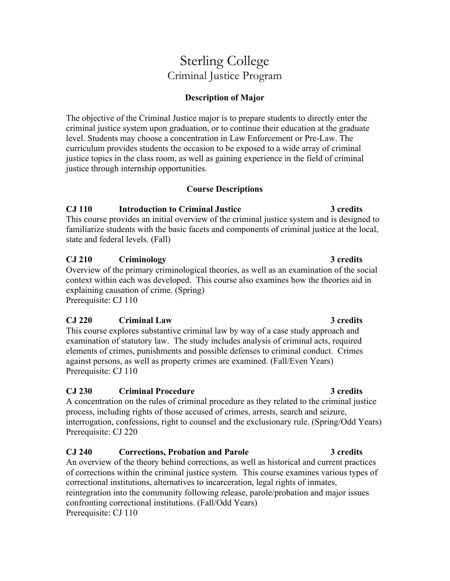# Sterling College Criminal Justice Program

# **Description of Major**

The objective of the Criminal Justice major is to prepare students to directly enter the criminal justice system upon graduation, or to continue their education at the graduate level. Students may choose a concentration in Law Enforcement or Pre-Law. The curriculum provides students the occasion to be exposed to a wide array of criminal justice topics in the class room, as well as gaining experience in the field of criminal justice through internship opportunities.

# **Course Descriptions**

# **CJ 110 Introduction to Criminal Justice 3 credits**

This course provides an initial overview of the criminal justice system and is designed to familiarize students with the basic facets and components of criminal justice at the local, state and federal levels. (Fall)

# **CJ 210 Criminology 3 credits**

Overview of the primary criminological theories, as well as an examination of the social context within each was developed. This course also examines how the theories aid in explaining causation of crime. (Spring) Prerequisite: CJ 110

# **CJ 220 Criminal Law 3 credits**

This course explores substantive criminal law by way of a case study approach and examination of statutory law. The study includes analysis of criminal acts, required elements of crimes, punishments and possible defenses to criminal conduct. Crimes against persons, as well as property crimes are examined. (Fall/Even Years) Prerequisite: CJ 110

# **CJ 230 Criminal Procedure 3 credits**

A concentration on the rules of criminal procedure as they related to the criminal justice process, including rights of those accused of crimes, arrests, search and seizure, interrogation, confessions, right to counsel and the exclusionary rule. (Spring/Odd Years) Prerequisite: CJ 220

# **CJ 240 Corrections, Probation and Parole 3 credits**

An overview of the theory behind corrections, as well as historical and current practices of corrections within the criminal justice system. This course examines various types of correctional institutions, alternatives to incarceration, legal rights of inmates, reintegration into the community following release, parole/probation and major issues confronting correctional institutions. (Fall/Odd Years) Prerequisite: CJ 110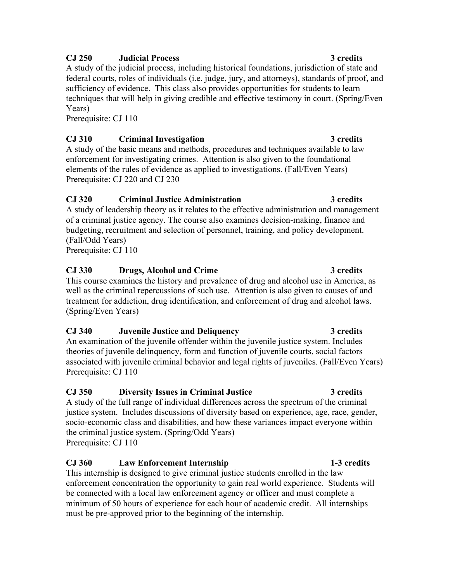### **CJ 250 Judicial Process 3 credits**

A study of the judicial process, including historical foundations, jurisdiction of state and federal courts, roles of individuals (i.e. judge, jury, and attorneys), standards of proof, and sufficiency of evidence. This class also provides opportunities for students to learn techniques that will help in giving credible and effective testimony in court. (Spring/Even Years)

Prerequisite: CJ 110

### **CJ 310 Criminal Investigation 3 credits**

A study of the basic means and methods, procedures and techniques available to law enforcement for investigating crimes. Attention is also given to the foundational elements of the rules of evidence as applied to investigations. (Fall/Even Years) Prerequisite: CJ 220 and CJ 230

### **CJ 320 Criminal Justice Administration 3 credits**

A study of leadership theory as it relates to the effective administration and management of a criminal justice agency. The course also examines decision-making, finance and budgeting, recruitment and selection of personnel, training, and policy development. (Fall/Odd Years)

Prerequisite: CJ 110

### **CJ 330 Drugs, Alcohol and Crime 3 credits**

This course examines the history and prevalence of drug and alcohol use in America, as well as the criminal repercussions of such use. Attention is also given to causes of and treatment for addiction, drug identification, and enforcement of drug and alcohol laws. (Spring/Even Years)

### **CJ 340 Juvenile Justice and Deliquency 3 credits**

An examination of the juvenile offender within the juvenile justice system. Includes theories of juvenile delinquency, form and function of juvenile courts, social factors associated with juvenile criminal behavior and legal rights of juveniles. (Fall/Even Years) Prerequisite: CJ 110

# **CJ 350 Diversity Issues in Criminal Justice 3 credits**

A study of the full range of individual differences across the spectrum of the criminal justice system. Includes discussions of diversity based on experience, age, race, gender, socio-economic class and disabilities, and how these variances impact everyone within the criminal justice system. (Spring/Odd Years) Prerequisite: CJ 110

# **CJ 360 Law Enforcement Internship 1-3 credits**

This internship is designed to give criminal justice students enrolled in the law enforcement concentration the opportunity to gain real world experience. Students will be connected with a local law enforcement agency or officer and must complete a minimum of 50 hours of experience for each hour of academic credit. All internships must be pre-approved prior to the beginning of the internship.